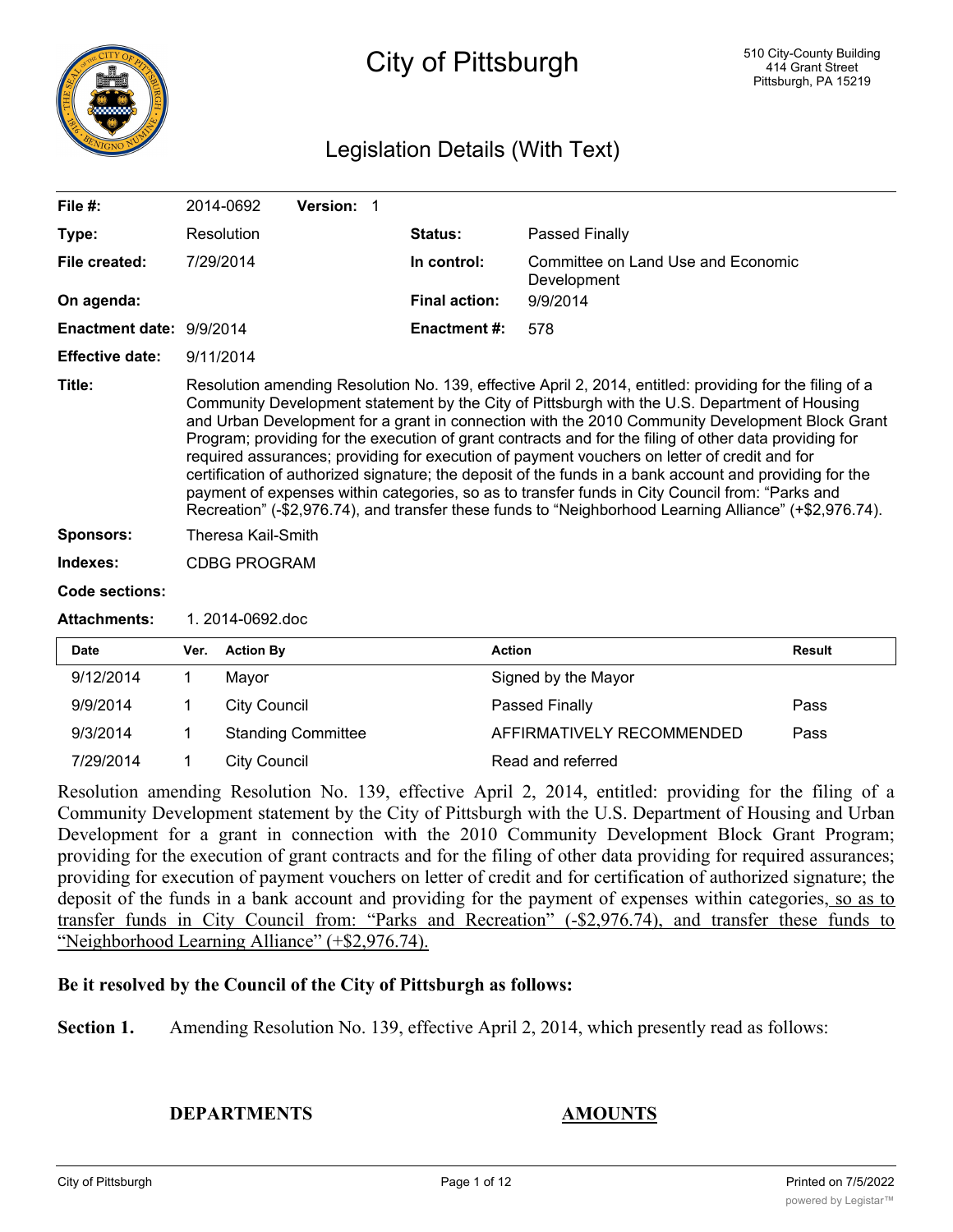

## City of Pittsburgh

## Legislation Details (With Text)

| File $#$ :               |                                                                                                                                                                                                                                                                                                                                                                                                                                                                                                                                                                                                                                                                                                                                                                                                                                                | 2014-0692           | Version: 1 |  |                      |                                                   |               |
|--------------------------|------------------------------------------------------------------------------------------------------------------------------------------------------------------------------------------------------------------------------------------------------------------------------------------------------------------------------------------------------------------------------------------------------------------------------------------------------------------------------------------------------------------------------------------------------------------------------------------------------------------------------------------------------------------------------------------------------------------------------------------------------------------------------------------------------------------------------------------------|---------------------|------------|--|----------------------|---------------------------------------------------|---------------|
| Type:                    |                                                                                                                                                                                                                                                                                                                                                                                                                                                                                                                                                                                                                                                                                                                                                                                                                                                | Resolution          |            |  | Status:              | <b>Passed Finally</b>                             |               |
| File created:            |                                                                                                                                                                                                                                                                                                                                                                                                                                                                                                                                                                                                                                                                                                                                                                                                                                                | 7/29/2014           |            |  | In control:          | Committee on Land Use and Economic<br>Development |               |
| On agenda:               |                                                                                                                                                                                                                                                                                                                                                                                                                                                                                                                                                                                                                                                                                                                                                                                                                                                |                     |            |  | <b>Final action:</b> | 9/9/2014                                          |               |
| Enactment date: 9/9/2014 |                                                                                                                                                                                                                                                                                                                                                                                                                                                                                                                                                                                                                                                                                                                                                                                                                                                |                     |            |  | <b>Enactment #:</b>  | 578                                               |               |
| <b>Effective date:</b>   |                                                                                                                                                                                                                                                                                                                                                                                                                                                                                                                                                                                                                                                                                                                                                                                                                                                | 9/11/2014           |            |  |                      |                                                   |               |
| Title:                   | Resolution amending Resolution No. 139, effective April 2, 2014, entitled: providing for the filing of a<br>Community Development statement by the City of Pittsburgh with the U.S. Department of Housing<br>and Urban Development for a grant in connection with the 2010 Community Development Block Grant<br>Program; providing for the execution of grant contracts and for the filing of other data providing for<br>required assurances; providing for execution of payment vouchers on letter of credit and for<br>certification of authorized signature; the deposit of the funds in a bank account and providing for the<br>payment of expenses within categories, so as to transfer funds in City Council from: "Parks and<br>Recreation" (-\$2,976.74), and transfer these funds to "Neighborhood Learning Alliance" (+\$2,976.74). |                     |            |  |                      |                                                   |               |
| Sponsors:                | Theresa Kail-Smith                                                                                                                                                                                                                                                                                                                                                                                                                                                                                                                                                                                                                                                                                                                                                                                                                             |                     |            |  |                      |                                                   |               |
| Indexes:                 | <b>CDBG PROGRAM</b>                                                                                                                                                                                                                                                                                                                                                                                                                                                                                                                                                                                                                                                                                                                                                                                                                            |                     |            |  |                      |                                                   |               |
| Code sections:           |                                                                                                                                                                                                                                                                                                                                                                                                                                                                                                                                                                                                                                                                                                                                                                                                                                                |                     |            |  |                      |                                                   |               |
| <b>Attachments:</b>      |                                                                                                                                                                                                                                                                                                                                                                                                                                                                                                                                                                                                                                                                                                                                                                                                                                                | 1. 2014-0692.doc    |            |  |                      |                                                   |               |
| <b>Date</b>              | Ver.                                                                                                                                                                                                                                                                                                                                                                                                                                                                                                                                                                                                                                                                                                                                                                                                                                           | <b>Action By</b>    |            |  | <b>Action</b>        |                                                   | <b>Result</b> |
| 9/12/2014                | 1                                                                                                                                                                                                                                                                                                                                                                                                                                                                                                                                                                                                                                                                                                                                                                                                                                              | Mayor               |            |  |                      | Signed by the Mayor                               |               |
| 9/9/2014                 |                                                                                                                                                                                                                                                                                                                                                                                                                                                                                                                                                                                                                                                                                                                                                                                                                                                | <b>City Council</b> |            |  |                      | Passed Finally                                    | Pass          |

9/3/2014 1 Standing Committee **AFFIRMATIVELY RECOMMENDED** Pass 7/29/2014 1 City Council 2008 Read and referred Resolution amending Resolution No. 139, effective April 2, 2014, entitled: providing for the filing of a Community Development statement by the City of Pittsburgh with the U.S. Department of Housing and Urban

Development for a grant in connection with the 2010 Community Development Block Grant Program; providing for the execution of grant contracts and for the filing of other data providing for required assurances; providing for execution of payment vouchers on letter of credit and for certification of authorized signature; the deposit of the funds in a bank account and providing for the payment of expenses within categories, so as to transfer funds in City Council from: "Parks and Recreation" (-\$2,976.74), and transfer these funds to "Neighborhood Learning Alliance" (+\$2,976.74).

## **Be it resolved by the Council of the City of Pittsburgh as follows:**

**Section 1.** Amending Resolution No. 139, effective April 2, 2014, which presently read as follows:

**DEPARTMENTS AMOUNTS**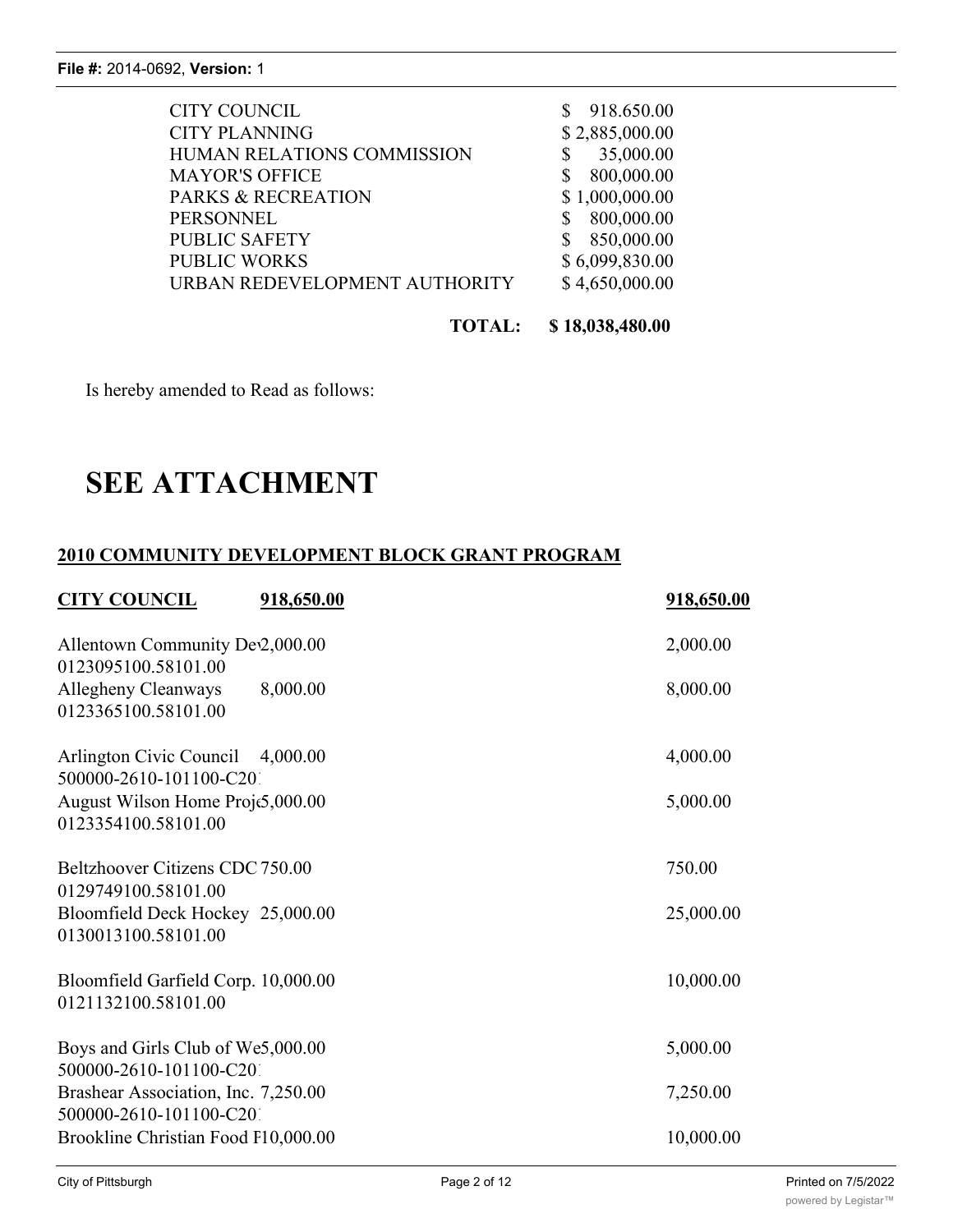| <b>CITY COUNCIL</b>           | 918.650.00     |
|-------------------------------|----------------|
| <b>CITY PLANNING</b>          | \$2,885,000.00 |
| HUMAN RELATIONS COMMISSION    | 35,000.00      |
| <b>MAYOR'S OFFICE</b>         | 800,000.00     |
| <b>PARKS &amp; RECREATION</b> | \$1,000,000.00 |
| <b>PERSONNEL</b>              | 800,000.00     |
| <b>PUBLIC SAFETY</b>          | 850,000.00     |
| <b>PUBLIC WORKS</b>           | \$6,099,830.00 |
| URBAN REDEVELOPMENT AUTHORITY | \$4,650,000.00 |
|                               |                |

**TOTAL: \$ 18,038,480.00**

Is hereby amended to Read as follows:

# **SEE ATTACHMENT**

## **2010 COMMUNITY DEVELOPMENT BLOCK GRANT PROGRAM**

| <b>CITY COUNCIL</b>                                                            | 918,650.00 | 918,650.00 |
|--------------------------------------------------------------------------------|------------|------------|
| Allentown Community Dev2,000.00<br>0123095100.58101.00                         |            | 2,000.00   |
| Allegheny Cleanways<br>0123365100.58101.00                                     | 8,000.00   | 8,000.00   |
| Arlington Civic Council 4,000.00<br>500000-2610-101100-C201                    |            | 4,000.00   |
| August Wilson Home Proje5,000.00<br>0123354100.58101.00                        |            | 5,000.00   |
| Beltzhoover Citizens CDC 750.00                                                |            | 750.00     |
| 0129749100.58101.00<br>Bloomfield Deck Hockey 25,000.00<br>0130013100.58101.00 |            | 25,000.00  |
| Bloomfield Garfield Corp. 10,000.00<br>0121132100.58101.00                     |            | 10,000.00  |
| Boys and Girls Club of We5,000.00                                              |            | 5,000.00   |
| 500000-2610-101100-C201<br>Brashear Association, Inc. 7,250.00                 |            | 7,250.00   |
| 500000-2610-101100-C201<br>Brookline Christian Food P10,000.00                 |            | 10,000.00  |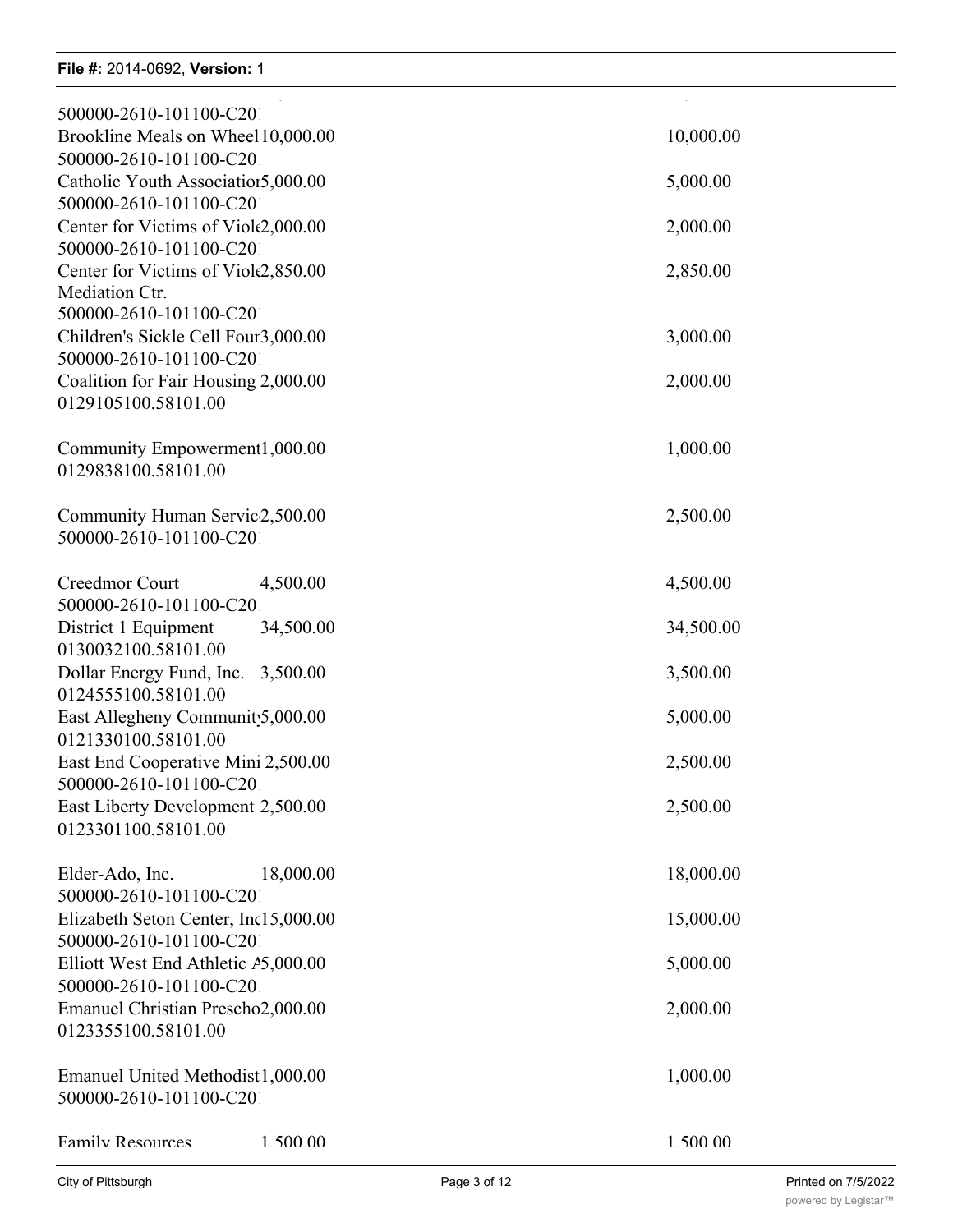| 500000-2610-101100-C201                                        |           |
|----------------------------------------------------------------|-----------|
| Brookline Meals on Wheel:10,000.00                             | 10,000.00 |
| 500000-2610-101100-C201<br>Catholic Youth Associatior5,000.00  | 5,000.00  |
| 500000-2610-101100-C201<br>Center for Victims of Viole2,000.00 | 2,000.00  |
| 500000-2610-101100-C201                                        |           |
| Center for Victims of Viole2,850.00<br>Mediation Ctr.          | 2,850.00  |
| 500000-2610-101100-C201                                        |           |
| Children's Sickle Cell Foun3,000.00<br>500000-2610-101100-C201 | 3,000.00  |
| Coalition for Fair Housing 2,000.00                            | 2,000.00  |
| 0129105100.58101.00                                            |           |
| Community Empowerment1,000.00                                  | 1,000.00  |
| 0129838100.58101.00                                            |           |
| Community Human Servic2,500.00                                 | 2,500.00  |
| 500000-2610-101100-C201                                        |           |
| Creedmor Court<br>4,500.00                                     | 4,500.00  |
| 500000-2610-101100-C201<br>District 1 Equipment<br>34,500.00   | 34,500.00 |
| 0130032100.58101.00                                            |           |
| Dollar Energy Fund, Inc.<br>3,500.00<br>0124555100.58101.00    | 3,500.00  |
| East Allegheny Community 5,000.00                              | 5,000.00  |
| 0121330100.58101.00<br>East End Cooperative Mini 2,500.00      | 2,500.00  |
| 500000-2610-101100-C201                                        |           |
| East Liberty Development 2,500.00<br>0123301100.58101.00       | 2,500.00  |
|                                                                |           |
| Elder-Ado, Inc.<br>18,000.00<br>500000-2610-101100-C201        | 18,000.00 |
| Elizabeth Seton Center, Inc15,000.00                           | 15,000.00 |
| 500000-2610-101100-C201<br>Elliott West End Athletic A5,000.00 | 5,000.00  |
| 500000-2610-101100-C201                                        |           |
| Emanuel Christian Prescho2,000.00<br>0123355100.58101.00       | 2,000.00  |
|                                                                |           |
| Emanuel United Methodist1,000.00<br>500000-2610-101100-C201    | 1,000.00  |
|                                                                |           |
| <b>Family Resources</b><br>1 500 00                            | 1 500 00  |

Brashear Association, Inc. 7,250.00 7,250.00

Brookline Christian Food Pantry 10,000.00 10,000.00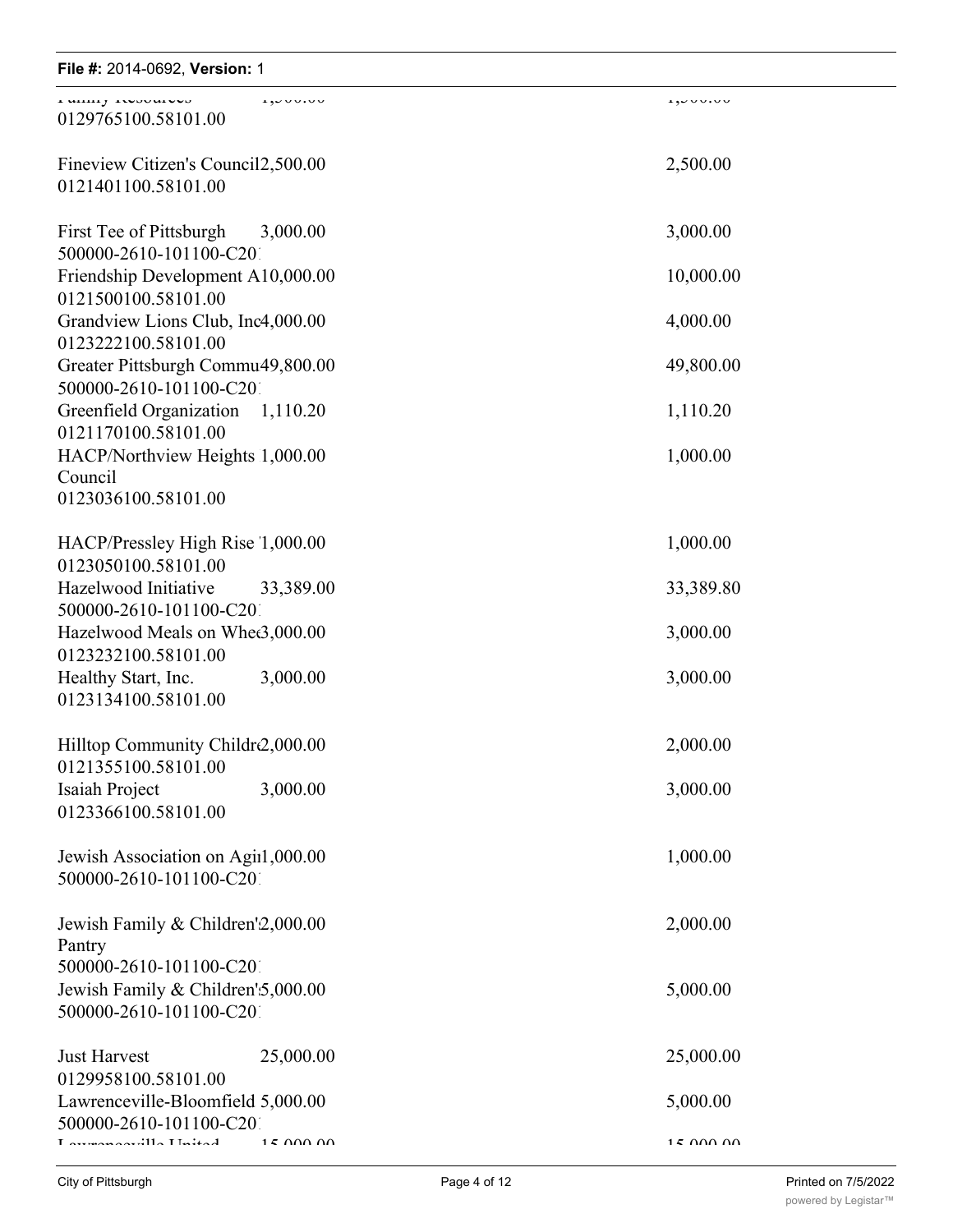| File #: 2014-0692, Version: 1                                                           |                 |                 |
|-----------------------------------------------------------------------------------------|-----------------|-----------------|
| I WILLIY INVOUMOU<br>0129765100.58101.00                                                | 1,00000         | 1,000000        |
| Fineview Citizen's Council2,500.00<br>0121401100.58101.00                               |                 | 2,500.00        |
| First Tee of Pittsburgh                                                                 | 3,000.00        | 3,000.00        |
| 500000-2610-101100-C201<br>Friendship Development A10,000.00                            |                 | 10,000.00       |
| 0121500100.58101.00<br>Grandview Lions Club, Inc4,000.00                                |                 | 4,000.00        |
| 0123222100.58101.00<br>Greater Pittsburgh Commu49,800.00                                |                 | 49,800.00       |
| 500000-2610-101100-C201<br>Greenfield Organization                                      | 1,110.20        | 1,110.20        |
| 0121170100.58101.00<br>HACP/Northview Heights 1,000.00                                  |                 | 1,000.00        |
| Council<br>0123036100.58101.00                                                          |                 |                 |
| HACP/Pressley High Rise 1,000.00                                                        |                 | 1,000.00        |
| 0123050100.58101.00<br>Hazelwood Initiative                                             | 33,389.00       | 33,389.80       |
| 500000-2610-101100-C201<br>Hazelwood Meals on Whee3,000.00                              |                 | 3,000.00        |
| 0123232100.58101.00<br>Healthy Start, Inc.                                              | 3,000.00        | 3,000.00        |
| 0123134100.58101.00                                                                     |                 |                 |
| Hilltop Community Childr2,000.00<br>0121355100.58101.00                                 |                 | 2,000.00        |
| Isaiah Project<br>0123366100.58101.00                                                   | 3,000.00        | 3,000.00        |
| Jewish Association on Agiil,000.00<br>500000-2610-101100-C201                           |                 | 1,000.00        |
| Jewish Family & Children'2,000.00<br>Pantry                                             |                 | 2,000.00        |
| 500000-2610-101100-C201<br>Jewish Family & Children'5,000.00<br>500000-2610-101100-C201 |                 | 5,000.00        |
| <b>Just Harvest</b><br>0129958100.58101.00                                              | 25,000.00       | 25,000.00       |
| Lawrenceville-Bloomfield 5,000.00<br>500000-2610-101100-C201                            |                 | 5,000.00        |
| $Iavr$ are a consider $I1$ in $I2$ in $I3$                                              | $15$ $000$ $00$ | $15$ $000$ $00$ |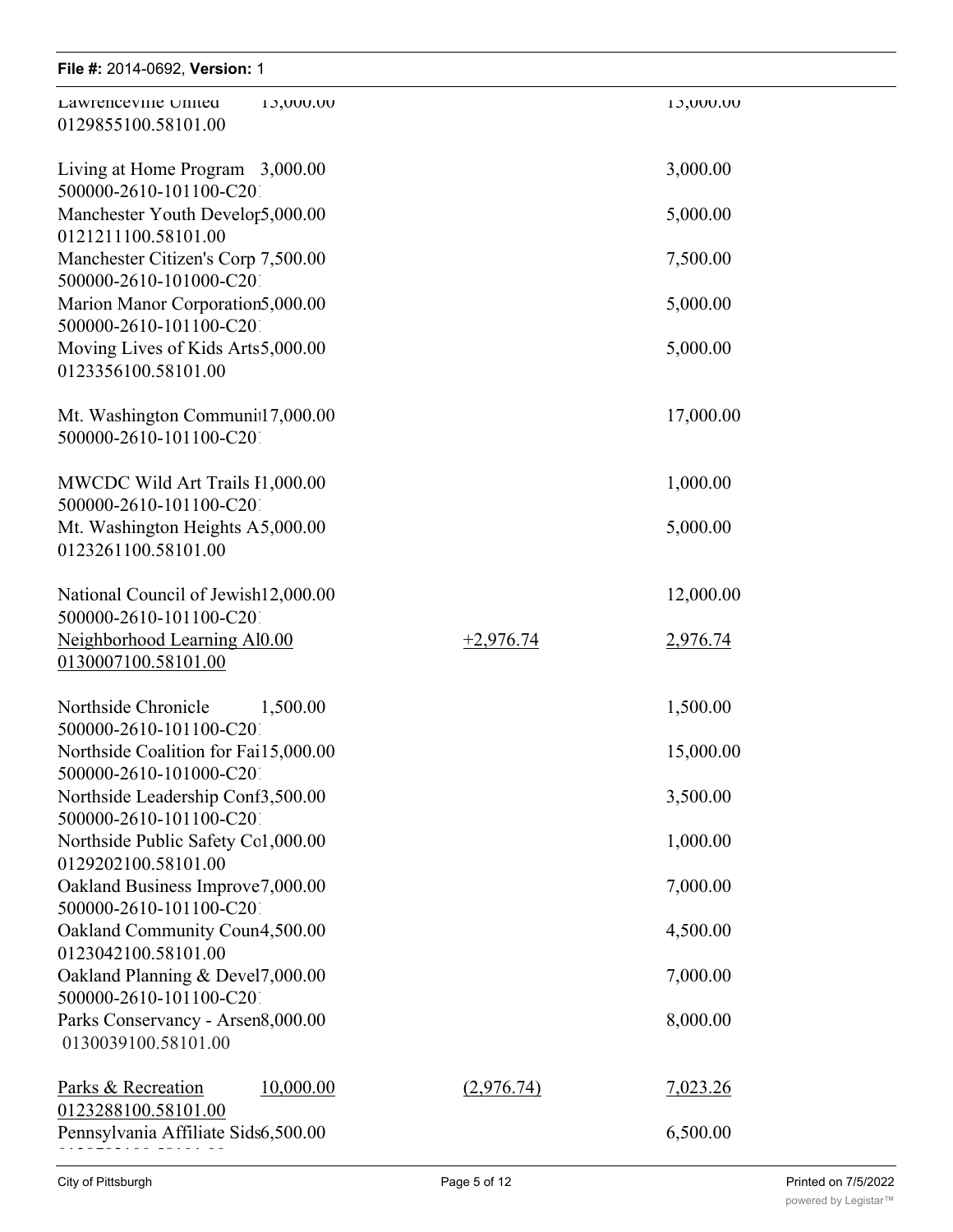## **File #:** 2014-0692, **Version:** 1 Lawrenceville-Bloomfield Meals on Wheels 5,000.00 5,000.00

| $1 \, \text{H}$ $\sigma$ $\pi$ . $2 \cup 1$ $\tau$ $\cup$ $0 \, \text{J}$ $\mathcal{L}$ , $\tau$ $\sigma$ $\sigma$ $\sigma$ $\sigma$ |             |           |
|--------------------------------------------------------------------------------------------------------------------------------------|-------------|-----------|
| Lawrenceville United<br>13,000.00<br>0129855100.58101.00                                                                             |             | 10,000.00 |
| Living at Home Program 3,000.00<br>500000-2610-101100-C201                                                                           |             | 3,000.00  |
| Manchester Youth Develor5,000.00<br>0121211100.58101.00                                                                              |             | 5,000.00  |
| Manchester Citizen's Corp 7,500.00<br>500000-2610-101000-C201                                                                        |             | 7,500.00  |
| Marion Manor Corporation5,000.00                                                                                                     |             | 5,000.00  |
| 500000-2610-101100-C201<br>Moving Lives of Kids Arts5,000.00<br>0123356100.58101.00                                                  |             | 5,000.00  |
| Mt. Washington Communit17,000.00<br>500000-2610-101100-C201                                                                          |             | 17,000.00 |
| MWCDC Wild Art Trails I1,000.00<br>500000-2610-101100-C201                                                                           |             | 1,000.00  |
| Mt. Washington Heights A5,000.00                                                                                                     |             | 5,000.00  |
| 0123261100.58101.00                                                                                                                  |             |           |
| National Council of Jewish12,000.00<br>500000-2610-101100-C201                                                                       |             | 12,000.00 |
| Neighborhood Learning Al0.00<br>0130007100.58101.00                                                                                  | $+2,976.74$ | 2,976.74  |
| Northside Chronicle<br>1,500.00                                                                                                      |             | 1,500.00  |
| 500000-2610-101100-C201<br>Northside Coalition for Fai15,000.00                                                                      |             | 15,000.00 |
| 500000-2610-101000-C201<br>Northside Leadership Conf3,500.00                                                                         |             | 3,500.00  |
| 500000-2610-101100-C201<br>Northside Public Safety Col,000.00                                                                        |             | 1,000.00  |
| 0129202100.58101.00<br>Oakland Business Improve7,000.00                                                                              |             | 7,000.00  |
| 500000-2610-101100-C201                                                                                                              |             |           |
| Oakland Community Coun4,500.00<br>0123042100.58101.00                                                                                |             | 4,500.00  |
| Oakland Planning & Devel7,000.00<br>500000-2610-101100-C201                                                                          |             | 7,000.00  |
| Parks Conservancy - Arsen8,000.00<br>0130039100.58101.00                                                                             |             | 8,000.00  |
| Parks & Recreation<br>10,000.00                                                                                                      | (2,976.74)  | 7,023.26  |
| 0123288100.58101.00<br>Pennsylvania Affiliate Sids6,500.00                                                                           |             | 6,500.00  |
|                                                                                                                                      |             |           |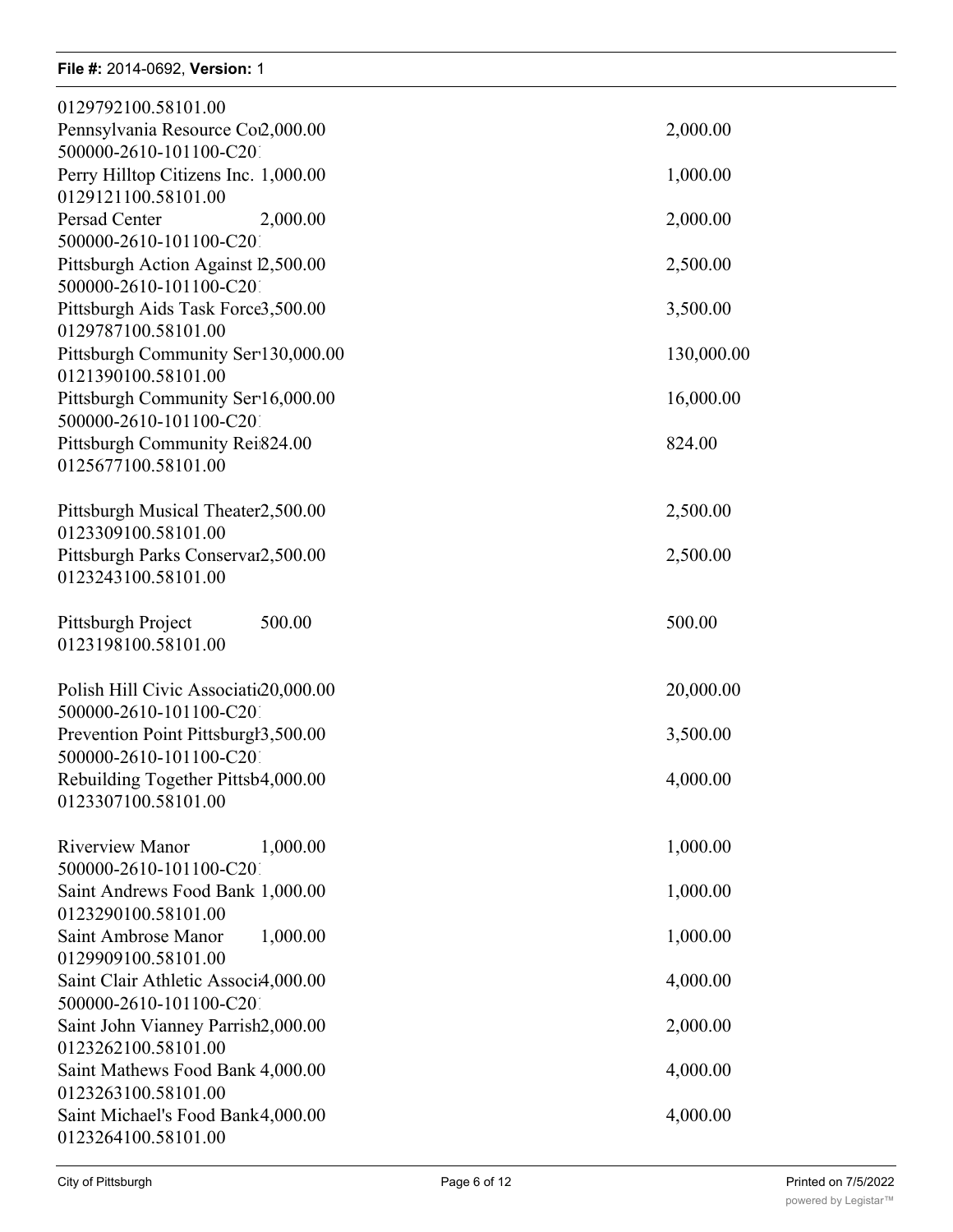## **File #: 2014-0692, Version: 1** Pennsylvania Affiliate Sids Alliance 6,500.00 6,500.00

| 0129792100.58101.00                                       |            |
|-----------------------------------------------------------|------------|
| Pennsylvania Resource Co2,000.00                          | 2,000.00   |
| 500000-2610-101100-C201                                   |            |
| Perry Hilltop Citizens Inc. 1,000.00                      | 1,000.00   |
| 0129121100.58101.00                                       |            |
| Persad Center<br>2,000.00                                 | 2,000.00   |
| 500000-2610-101100-C201                                   |            |
| Pittsburgh Action Against 12,500.00                       | 2,500.00   |
| 500000-2610-101100-C201                                   |            |
| Pittsburgh Aids Task Force3,500.00                        | 3,500.00   |
| 0129787100.58101.00                                       |            |
| Pittsburgh Community Ser 130,000.00                       | 130,000.00 |
| 0121390100.58101.00                                       |            |
| Pittsburgh Community Ser16,000.00                         | 16,000.00  |
| 500000-2610-101100-C201                                   |            |
| Pittsburgh Community Rei824.00                            | 824.00     |
| 0125677100.58101.00                                       |            |
|                                                           |            |
| Pittsburgh Musical Theater2,500.00<br>0123309100.58101.00 | 2,500.00   |
| Pittsburgh Parks Conservar2,500.00                        | 2,500.00   |
| 0123243100.58101.00                                       |            |
|                                                           |            |
| 500.00<br>Pittsburgh Project                              | 500.00     |
| 0123198100.58101.00                                       |            |
|                                                           |            |
| Polish Hill Civic Associati $c20,000.00$                  | 20,000.00  |
| 500000-2610-101100-C201                                   |            |
| Prevention Point Pittsburgh3,500.00                       | 3,500.00   |
| 500000-2610-101100-C201                                   |            |
| Rebuilding Together Pittsb4,000.00                        | 4,000.00   |
| 0123307100.58101.00                                       |            |
|                                                           |            |
| <b>Riverview Manor</b><br>1,000.00                        | 1,000.00   |
| 500000-2610-101100-C201                                   |            |
| Saint Andrews Food Bank 1,000.00                          | 1,000.00   |
| 0123290100.58101.00                                       |            |
| 1,000.00<br>Saint Ambrose Manor                           | 1,000.00   |
| 0129909100.58101.00                                       |            |
| Saint Clair Athletic Associ4,000.00                       | 4,000.00   |
| 500000-2610-101100-C201                                   |            |
| Saint John Vianney Parrish2,000.00                        | 2,000.00   |
| 0123262100.58101.00                                       |            |
| Saint Mathews Food Bank 4,000.00<br>0123263100.58101.00   | 4,000.00   |
| Saint Michael's Food Bank4,000.00                         | 4,000.00   |
| 0123264100.58101.00                                       |            |
|                                                           |            |

Saint Paul's Benevolent Education & Missionary Inst. 2,000.00 2,000.00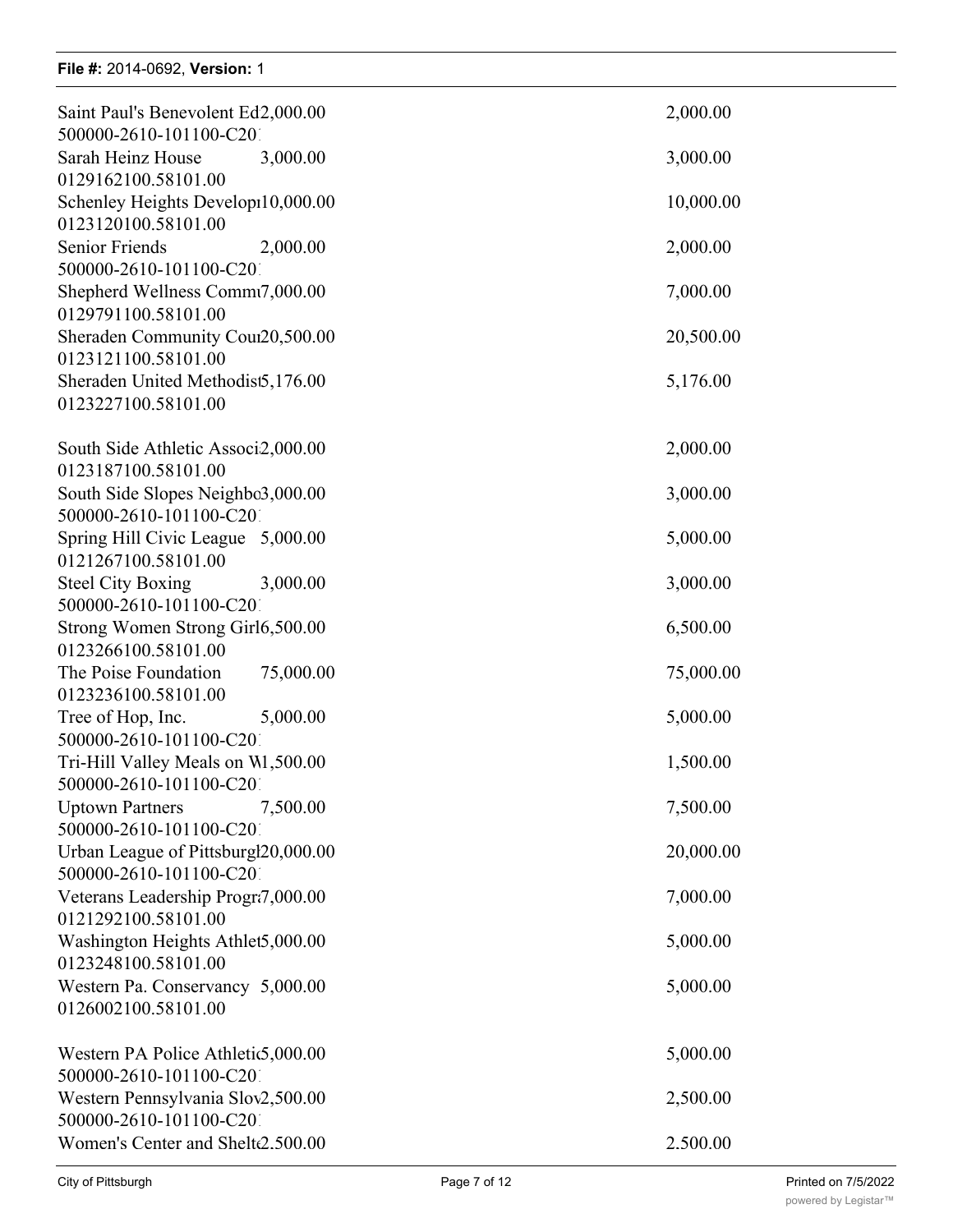### **File #:** 2014-0692, Version: 1

0123263100.58101.00

| Saint Paul's Benevolent Ed2,000.00<br>500000-2610-101100-C201   | 2,000.00  |
|-----------------------------------------------------------------|-----------|
| Sarah Heinz House<br>3,000.00                                   | 3,000.00  |
| 0129162100.58101.00<br>Schenley Heights Develop10,000.00        | 10,000.00 |
| 0123120100.58101.00<br><b>Senior Friends</b><br>2,000.00        | 2,000.00  |
| 500000-2610-101100-C201<br>Shepherd Wellness Commt7,000.00      | 7,000.00  |
| 0129791100.58101.00<br>Sheraden Community Cour20,500.00         | 20,500.00 |
| 0123121100.58101.00<br>Sheraden United Methodist5,176.00        | 5,176.00  |
| 0123227100.58101.00                                             |           |
| South Side Athletic Associ2,000.00<br>0123187100.58101.00       | 2,000.00  |
| South Side Slopes Neighbo3,000.00<br>500000-2610-101100-C201    | 3,000.00  |
| Spring Hill Civic League 5,000.00<br>0121267100.58101.00        | 5,000.00  |
| 3,000.00<br><b>Steel City Boxing</b><br>500000-2610-101100-C201 | 3,000.00  |
| Strong Women Strong Girl6,500.00<br>0123266100.58101.00         | 6,500.00  |
| The Poise Foundation<br>75,000.00<br>0123236100.58101.00        | 75,000.00 |
| 5,000.00<br>Tree of Hop, Inc.                                   | 5,000.00  |
| 500000-2610-101100-C201<br>Tri-Hill Valley Meals on W1,500.00   | 1,500.00  |
| 500000-2610-101100-C201<br><b>Uptown Partners</b><br>7,500.00   | 7,500.00  |
| 500000-2610-101100-C201<br>Urban League of Pittsburgl20,000.00  | 20,000.00 |
| 500000-2610-101100-C201<br>Veterans Leadership Progr?7,000.00   | 7,000.00  |
| 0121292100.58101.00<br>Washington Heights Athlet5,000.00        | 5,000.00  |
| 0123248100.58101.00<br>Western Pa. Conservancy 5,000.00         | 5,000.00  |
| 0126002100.58101.00                                             |           |
| Western PA Police Athletic 5,000.00<br>500000-2610-101100-C201  | 5,000.00  |
| Western Pennsylvania Slov2,500.00<br>500000-2610-101100-C201    | 2,500.00  |
| Women's Center and Shelte2.500.00                               | 2.500.00  |
|                                                                 |           |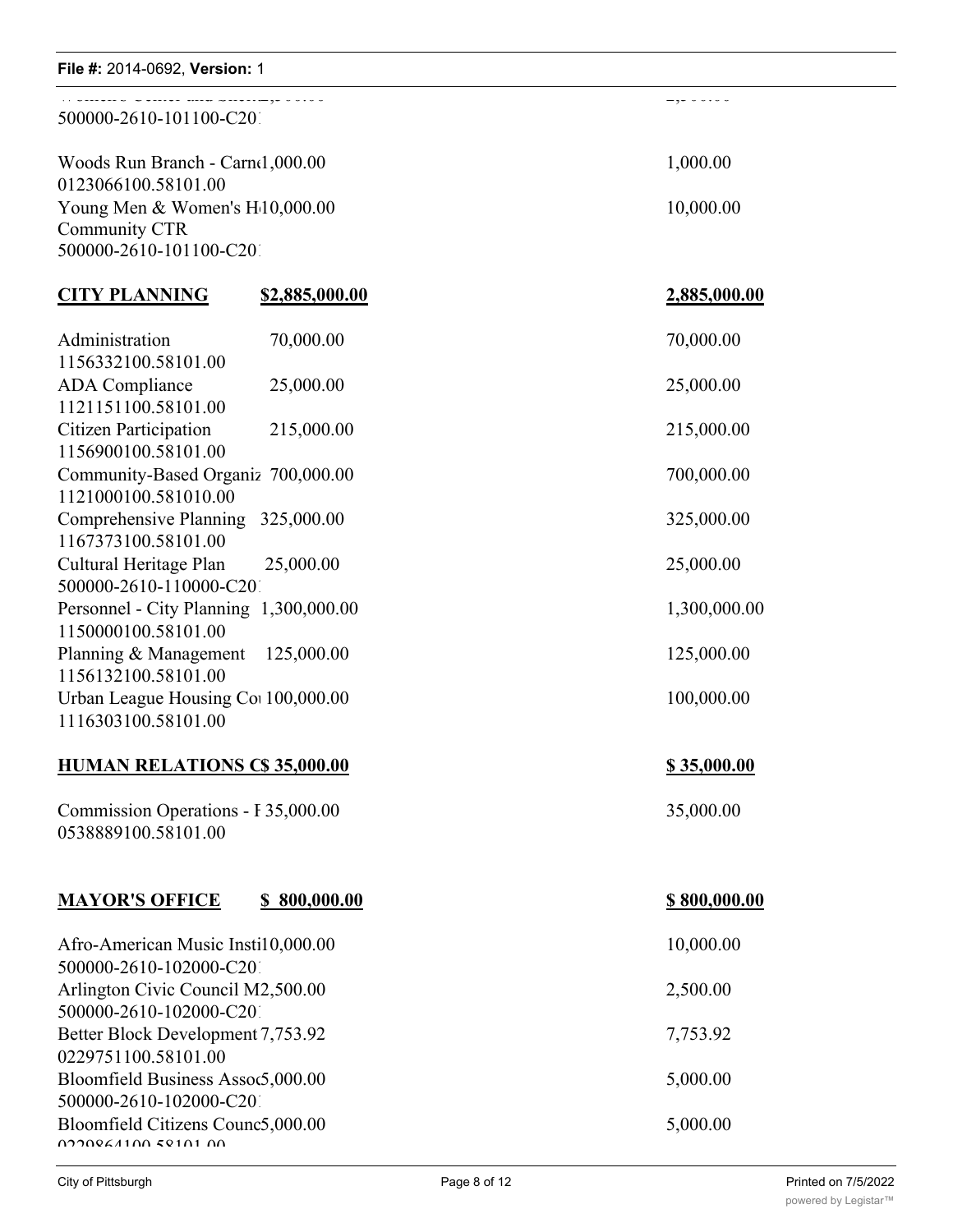| File #: 2014-0692, Version: 1                                                       |                       |                     |
|-------------------------------------------------------------------------------------|-----------------------|---------------------|
| 500000-2610-101100-C201                                                             |                       | - ,                 |
| Woods Run Branch - Carnel, 000.00                                                   | 1,000.00              |                     |
| 0123066100.58101.00<br>Young Men & Women's H10,000.00                               |                       | 10,000.00           |
| Community CTR<br>500000-2610-101100-C201                                            |                       |                     |
|                                                                                     |                       |                     |
| <b>CITY PLANNING</b>                                                                | <u>\$2,885,000.00</u> | <u>2,885,000.00</u> |
| Administration<br>1156332100.58101.00                                               | 70,000.00             | 70,000.00           |
| <b>ADA</b> Compliance<br>1121151100.58101.00                                        | 25,000.00             | 25,000.00           |
| Citizen Participation<br>1156900100.58101.00                                        | 215,000.00            | 215,000.00          |
| Community-Based Organiz 700,000.00<br>1121000100.581010.00                          |                       | 700,000.00          |
| Comprehensive Planning<br>1167373100.58101.00                                       | 325,000.00            | 325,000.00          |
| Cultural Heritage Plan<br>500000-2610-110000-C201                                   | 25,000.00             | 25,000.00           |
| Personnel - City Planning 1,300,000.00<br>1150000100.58101.00                       |                       | 1,300,000.00        |
| Planning & Management<br>1156132100.58101.00                                        | 125,000.00            | 125,000.00          |
| Urban League Housing Co 100,000.00<br>1116303100.58101.00                           |                       | 100,000.00          |
| <b>HUMAN RELATIONS C\$35,000.00</b>                                                 |                       | \$35,000.00         |
| Commission Operations - F35,000.00<br>0538889100.58101.00                           |                       | 35,000.00           |
| <b>MAYOR'S OFFICE</b>                                                               | \$800,000.00          | <u>\$800,000.00</u> |
| Afro-American Music Insti10,000.00                                                  |                       | 10,000.00           |
| 500000-2610-102000-C201<br>Arlington Civic Council M2,500.00                        |                       | 2,500.00            |
| 500000-2610-102000-C201<br>Better Block Development 7,753.92<br>0229751100.58101.00 |                       | 7,753.92            |
|                                                                                     |                       |                     |

Western Pennsylvania Slovak Cultural Association 2,500.00 2,500.00

500000-2610-102000-C201

0220964100.58101.00

Bloomfield Business Assoc $5,000.00$  5,000.00

Bloomfield Citizens Counc5,000.00 5,000.00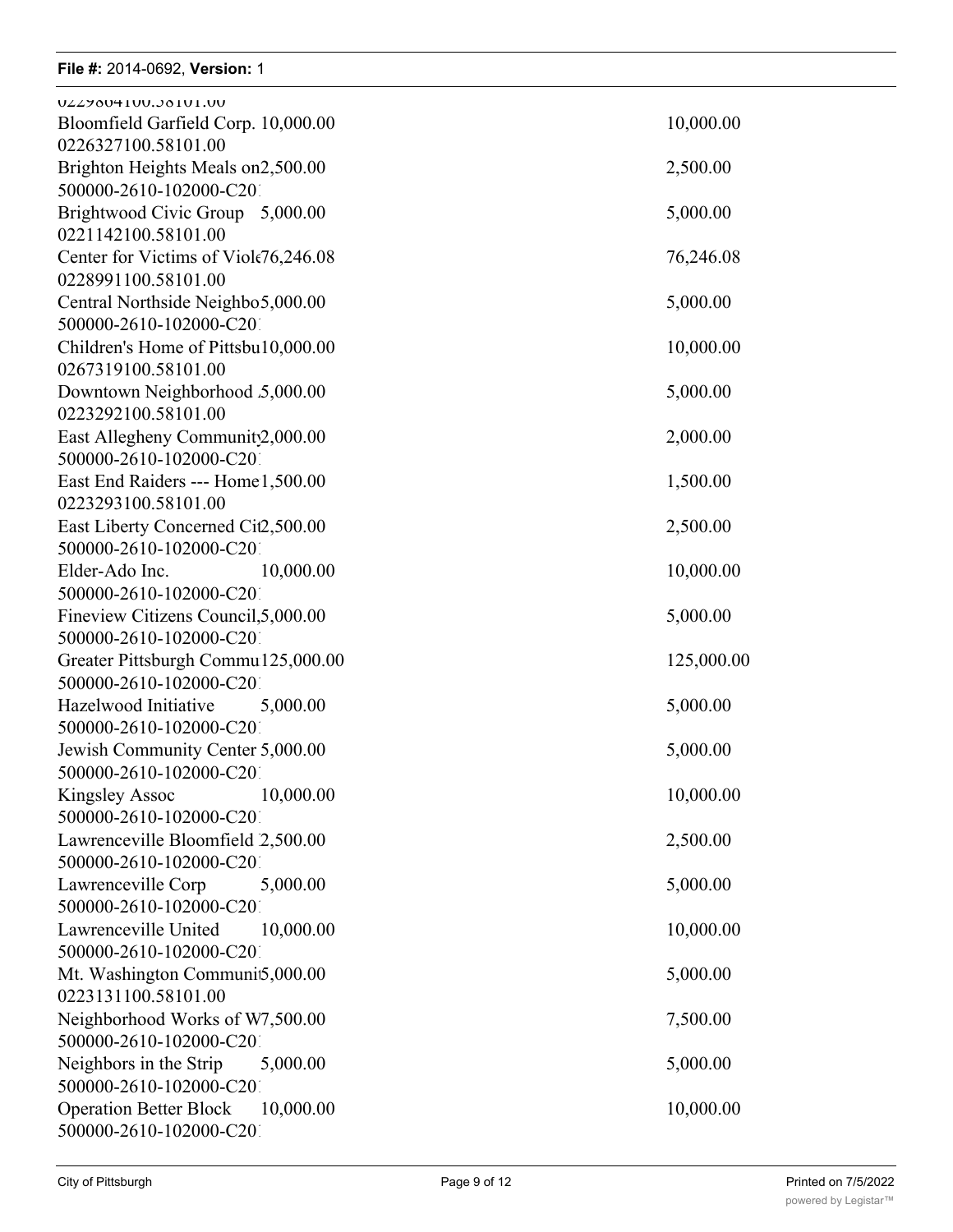## **File #:** 2014-0692, Version: 1 Bloomfield Citizens Council5,000.00 5,000.00

| UZZ7004100.J0101.00                        |            |
|--------------------------------------------|------------|
| Bloomfield Garfield Corp. 10,000.00        | 10,000.00  |
| 0226327100.58101.00                        |            |
| Brighton Heights Meals on2,500.00          | 2,500.00   |
| 500000-2610-102000-C201                    |            |
| Brightwood Civic Group 5,000.00            | 5,000.00   |
| 0221142100.58101.00                        |            |
| Center for Victims of Viole76,246.08       | 76,246.08  |
| 0228991100.58101.00                        |            |
| Central Northside Neighbo5,000.00          | 5,000.00   |
| 500000-2610-102000-C201                    |            |
| Children's Home of Pittsbu10,000.00        | 10,000.00  |
| 0267319100.58101.00                        |            |
| Downtown Neighborhood 5,000.00             | 5,000.00   |
| 0223292100.58101.00                        |            |
| East Allegheny Community2,000.00           | 2,000.00   |
| 500000-2610-102000-C201                    |            |
|                                            |            |
| East End Raiders --- Home1,500.00          | 1,500.00   |
| 0223293100.58101.00                        |            |
| East Liberty Concerned Cit2,500.00         | 2,500.00   |
| 500000-2610-102000-C201                    |            |
| Elder-Ado Inc.<br>10,000.00                | 10,000.00  |
| 500000-2610-102000-C201                    |            |
| Fineview Citizens Council, 5,000.00        | 5,000.00   |
| 500000-2610-102000-C201                    |            |
| Greater Pittsburgh Commu125,000.00         | 125,000.00 |
| 500000-2610-102000-C201                    |            |
| Hazelwood Initiative<br>5,000.00           | 5,000.00   |
| 500000-2610-102000-C201                    |            |
| Jewish Community Center 5,000.00           | 5,000.00   |
| 500000-2610-102000-C201                    |            |
| 10,000.00<br><b>Kingsley Assoc</b>         | 10,000.00  |
| 500000-2610-102000-C201                    |            |
| Lawrenceville Bloomfield 2,500.00          | 2,500.00   |
| 500000-2610-102000-C201                    |            |
| Lawrenceville Corp<br>5,000.00             | 5,000.00   |
| 500000-2610-102000-C201                    |            |
| Lawrenceville United<br>10,000.00          | 10,000.00  |
| 500000-2610-102000-C201                    |            |
|                                            |            |
| Mt. Washington Communit5,000.00            | 5,000.00   |
| 0223131100.58101.00                        |            |
| Neighborhood Works of W7,500.00            | 7,500.00   |
| 500000-2610-102000-C201                    |            |
| Neighbors in the Strip<br>5,000.00         | 5,000.00   |
| 500000-2610-102000-C201                    |            |
| <b>Operation Better Block</b><br>10,000.00 | 10,000.00  |
| 500000-2610-102000-C201                    |            |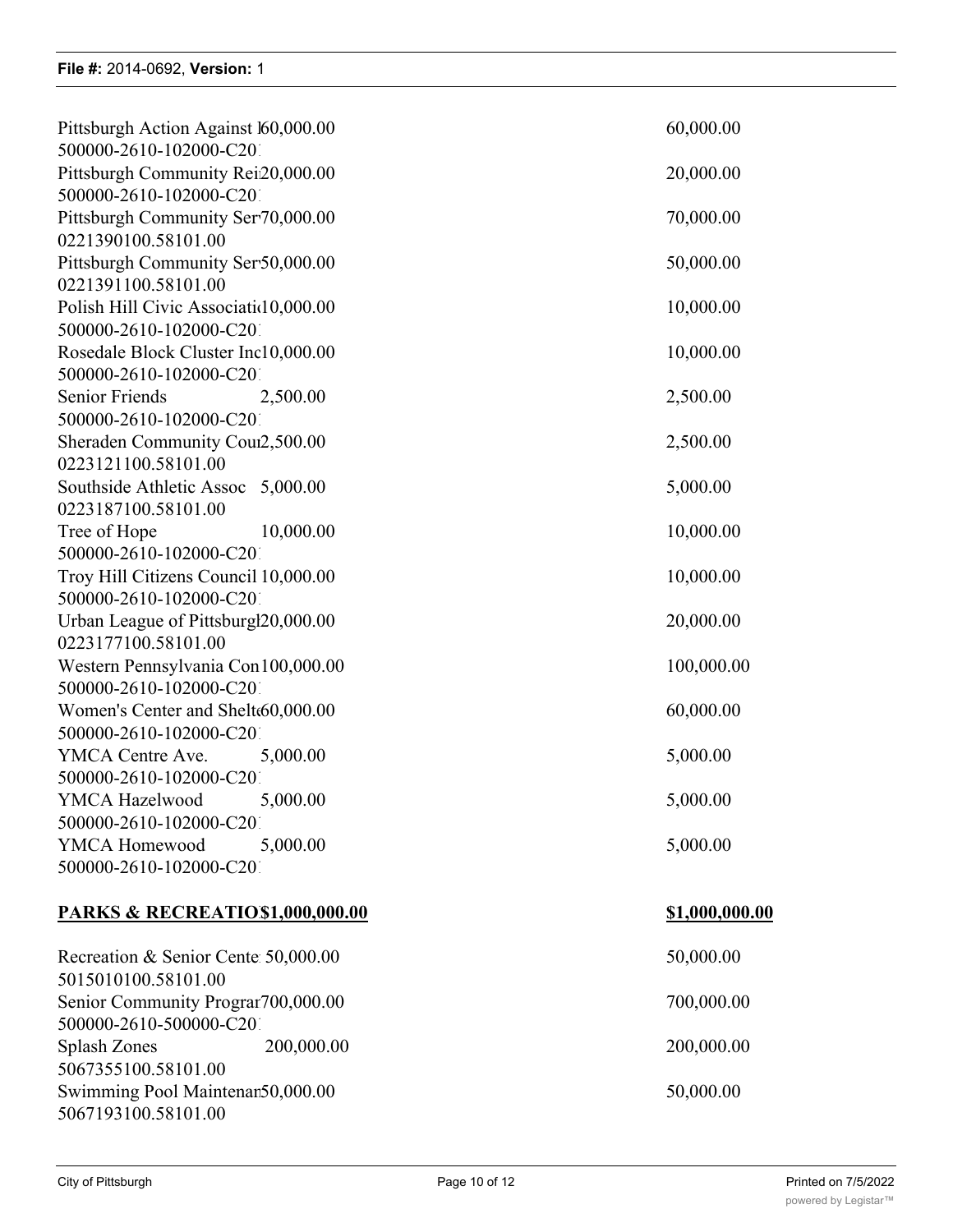| Pittsburgh Action Against 160,000.00<br>500000-2610-102000-C201 | 60,000.00      |
|-----------------------------------------------------------------|----------------|
| Pittsburgh Community Rei20,000.00                               | 20,000.00      |
| 500000-2610-102000-C201<br>Pittsburgh Community Ser70,000.00    | 70,000.00      |
| 0221390100.58101.00                                             |                |
| Pittsburgh Community Ser50,000.00                               | 50,000.00      |
| 0221391100.58101.00                                             |                |
| Polish Hill Civic Associatid 0,000.00                           | 10,000.00      |
| 500000-2610-102000-C201                                         |                |
| Rosedale Block Cluster Inc10,000.00                             | 10,000.00      |
| 500000-2610-102000-C201                                         |                |
| Senior Friends<br>2,500.00                                      | 2,500.00       |
| 500000-2610-102000-C201                                         |                |
| Sheraden Community Cour2,500.00                                 | 2,500.00       |
| 0223121100.58101.00                                             |                |
| Southside Athletic Assoc 5,000.00                               | 5,000.00       |
| 0223187100.58101.00                                             |                |
| Tree of Hope<br>10,000.00                                       | 10,000.00      |
| 500000-2610-102000-C201                                         |                |
| Troy Hill Citizens Council 10,000.00                            | 10,000.00      |
| 500000-2610-102000-C201                                         |                |
| Urban League of Pittsburgl20,000.00                             | 20,000.00      |
| 0223177100.58101.00                                             |                |
| Western Pennsylvania Con 100,000.00                             | 100,000.00     |
| 500000-2610-102000-C201                                         |                |
| Women's Center and Shelt60,000.00                               | 60,000.00      |
| 500000-2610-102000-C201                                         |                |
| YMCA Centre Ave.<br>5,000.00                                    | 5,000.00       |
| 500000-2610-102000-C201                                         |                |
| YMCA Hazelwood<br>5,000.00                                      | 5,000.00       |
| 500000-2610-102000-C201                                         |                |
| YMCA Homewood<br>5,000.00                                       | 5,000.00       |
| 500000-2610-102000-C201                                         |                |
|                                                                 |                |
| PARKS & RECREATIO\$1,000,000.00                                 | \$1,000,000.00 |
|                                                                 |                |
| Recreation & Senior Center 50,000.00<br>5015010100.58101.00     | 50,000.00      |

5015010100.58101.00 Senior Community Program 700,000.00 700,000.00 700,000.00 500000-2610-500000-C201<br>Splash Zones 200,000.00 Splash Zones 200,000.00 200,000.00 200,000.00 5067355100.58101.00 Swimming Pool Maintenan50,000.00 50,000.00 5067193100.58101.00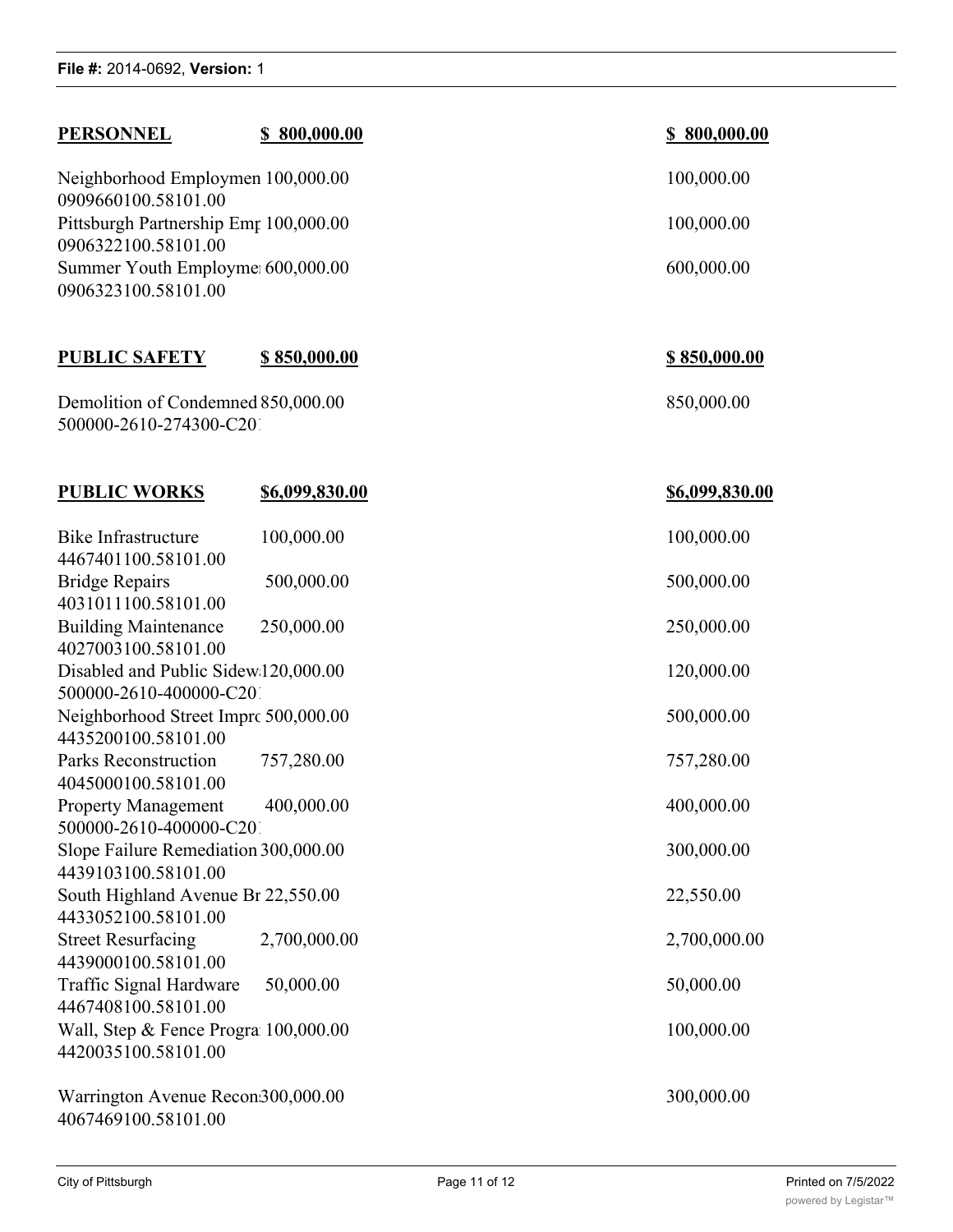| <b>PERSONNEL</b>                                                                                     | <u>\$800,000.00</u> |  | <u>\$800,000.00</u> |  |
|------------------------------------------------------------------------------------------------------|---------------------|--|---------------------|--|
| Neighborhood Employmen 100,000.00<br>0909660100.58101.00                                             |                     |  | 100,000.00          |  |
| Pittsburgh Partnership Emr 100,000.00                                                                |                     |  | 100,000.00          |  |
| 0906322100.58101.00<br>Summer Youth Employme 600,000.00<br>0906323100.58101.00                       |                     |  | 600,000.00          |  |
| <b>PUBLIC SAFETY</b>                                                                                 | <u>\$850,000.00</u> |  | <u>\$850,000.00</u> |  |
| Demolition of Condemned 850,000.00<br>500000-2610-274300-C201                                        |                     |  | 850,000.00          |  |
| <b>PUBLIC WORKS</b>                                                                                  | \$6,099,830.00      |  | \$6,099,830.00      |  |
| <b>Bike Infrastructure</b><br>4467401100.58101.00                                                    | 100,000.00          |  | 100,000.00          |  |
| <b>Bridge Repairs</b><br>4031011100.58101.00                                                         | 500,000.00          |  | 500,000.00          |  |
| <b>Building Maintenance</b><br>4027003100.58101.00                                                   | 250,000.00          |  | 250,000.00          |  |
| Disabled and Public Sidew 120,000.00                                                                 |                     |  | 120,000.00          |  |
| 500000-2610-400000-C201<br>Neighborhood Street Imprc 500,000.00<br>4435200100.58101.00               |                     |  | 500,000.00          |  |
| <b>Parks Reconstruction</b><br>4045000100.58101.00                                                   | 757,280.00          |  | 757,280.00          |  |
| <b>Property Management</b>                                                                           | 400,000.00          |  | 400,000.00          |  |
| 500000-2610-400000-C201<br>300,000.00<br>Slope Failure Remediation 300,000.00<br>4439103100.58101.00 |                     |  |                     |  |
| South Highland Avenue Br 22,550.00<br>4433052100.58101.00                                            |                     |  | 22,550.00           |  |
| <b>Street Resurfacing</b><br>4439000100.58101.00                                                     | 2,700,000.00        |  | 2,700,000.00        |  |
| Traffic Signal Hardware<br>4467408100.58101.00                                                       | 50,000.00           |  | 50,000.00           |  |
| Wall, Step & Fence Progra 100,000.00<br>4420035100.58101.00                                          |                     |  | 100,000.00          |  |
| Warrington Avenue Recon300,000.00<br>4067469100.58101.00                                             |                     |  | 300,000.00          |  |

Swimming Pool Maintenance 50,000.00 50,000.00